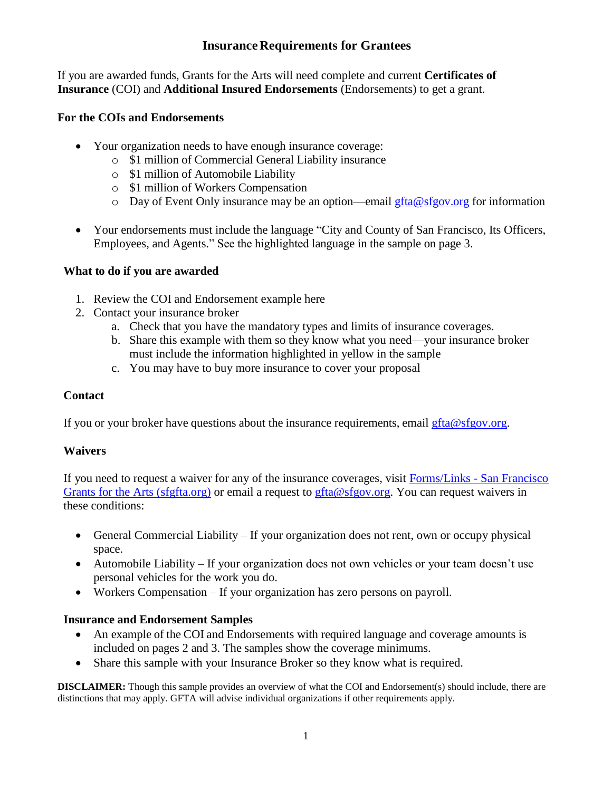### **Insurance Requirements for Grantees**

If you are awarded funds, Grants for the Arts will need complete and current **Certificates of Insurance** (COI) and **Additional Insured Endorsements** (Endorsements) to get a grant.

#### **For the COIs and Endorsements**

- Your organization needs to have enough insurance coverage:
	- o \$1 million of Commercial General Liability insurance
	- o \$1 million of Automobile Liability
	- o \$1 million of Workers Compensation
	- o Day of Event Only insurance may be an option—email  $gfta@sfgov.org$  for information
- Your endorsements must include the language "City and County of San Francisco, Its Officers, Employees, and Agents." See the highlighted language in the sample on page 3.

#### **What to do if you are awarded**

- 1. Review the COI and Endorsement example here
- 2. Contact your insurance broker
	- a. Check that you have the mandatory types and limits of insurance coverages.
	- b. Share this example with them so they know what you need—your insurance broker must include the information highlighted in yellow in the sample
	- c. You may have to buy more insurance to cover your proposal

#### **Contact**

If you or your broker have questions about the insurance requirements, email [gfta@sfgov.org.](mailto:gfta@sfgov.org)

#### **Waivers**

If you need to request a waiver for any of the insurance coverages, visit Forms/Links - [San Francisco](https://sfgfta.org/for-grantees/forms/)  [Grants for the Arts \(sfgfta.org\)](https://sfgfta.org/for-grantees/forms/) or email a request to [gfta@sfgov.org.](mailto:gfta@sfgov.org) You can request waivers in these conditions:

- General Commercial Liability If your organization does not rent, own or occupy physical space.
- Automobile Liability If your organization does not own vehicles or your team doesn't use personal vehicles for the work you do.
- Workers Compensation If your organization has zero persons on payroll.

#### **Insurance and Endorsement Samples**

- An example of the COI and Endorsements with required language and coverage amounts is included on pages 2 and 3. The samples show the coverage minimums.
- Share this sample with your Insurance Broker so they know what is required.

**DISCLAIMER:** Though this sample provides an overview of what the COI and Endorsement(s) should include, there are distinctions that may apply. GFTA will advise individual organizations if other requirements apply.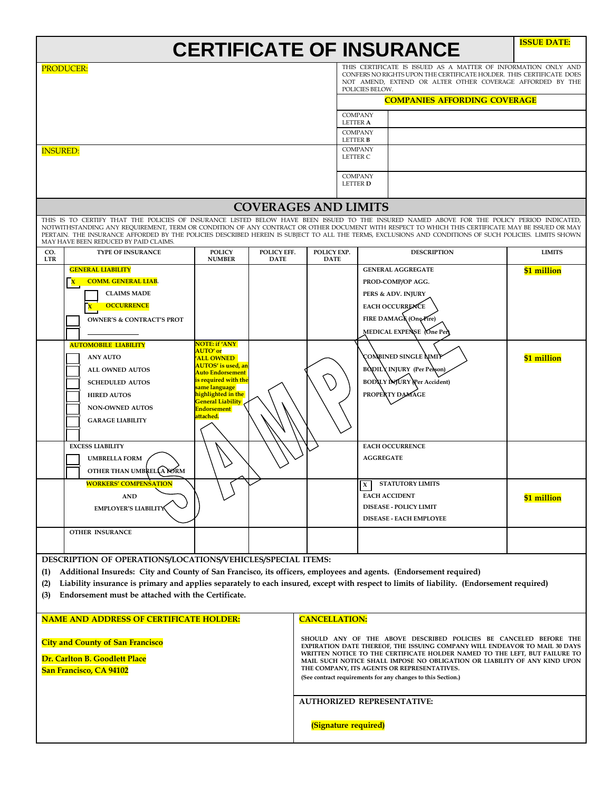| <b>CERTIFICATE OF INSURANCE</b> | <b>ISSUE DATE:</b> |
|---------------------------------|--------------------|
|---------------------------------|--------------------|

|                                                                                                                                                                                                                                                                                                                                                                                                                                                                                                    | <b>PRODUCER:</b>                                            |                                                    |                            |                                                                                                                                                         |                                             | POLICIES BELOW.  | THIS CERTIFICATE IS ISSUED AS A MATTER OF INFORMATION ONLY AND<br>CONFERS NO RIGHTS UPON THE CERTIFICATE HOLDER. THIS CERTIFICATE DOES<br>NOT AMEND, EXTEND OR ALTER OTHER COVERAGE AFFORDED BY THE |               |  |
|----------------------------------------------------------------------------------------------------------------------------------------------------------------------------------------------------------------------------------------------------------------------------------------------------------------------------------------------------------------------------------------------------------------------------------------------------------------------------------------------------|-------------------------------------------------------------|----------------------------------------------------|----------------------------|---------------------------------------------------------------------------------------------------------------------------------------------------------|---------------------------------------------|------------------|-----------------------------------------------------------------------------------------------------------------------------------------------------------------------------------------------------|---------------|--|
|                                                                                                                                                                                                                                                                                                                                                                                                                                                                                                    |                                                             |                                                    |                            |                                                                                                                                                         | <b>COMPANIES AFFORDING COVERAGE</b>         |                  |                                                                                                                                                                                                     |               |  |
|                                                                                                                                                                                                                                                                                                                                                                                                                                                                                                    |                                                             |                                                    |                            |                                                                                                                                                         | <b>COMPANY</b><br><b>LETTER A</b>           |                  |                                                                                                                                                                                                     |               |  |
|                                                                                                                                                                                                                                                                                                                                                                                                                                                                                                    |                                                             |                                                    |                            |                                                                                                                                                         | <b>COMPANY</b><br>LETTER <b>B</b>           |                  |                                                                                                                                                                                                     |               |  |
| <b>INSURED:</b>                                                                                                                                                                                                                                                                                                                                                                                                                                                                                    |                                                             |                                                    |                            |                                                                                                                                                         | <b>COMPANY</b><br>LETTER C                  |                  |                                                                                                                                                                                                     |               |  |
|                                                                                                                                                                                                                                                                                                                                                                                                                                                                                                    |                                                             |                                                    |                            |                                                                                                                                                         | <b>COMPANY</b><br>LETTER <b>D</b>           |                  |                                                                                                                                                                                                     |               |  |
| <b>COVERAGES AND LIMITS</b>                                                                                                                                                                                                                                                                                                                                                                                                                                                                        |                                                             |                                                    |                            |                                                                                                                                                         |                                             |                  |                                                                                                                                                                                                     |               |  |
| THIS IS TO CERTIFY THAT THE POLICIES OF INSURANCE LISTED BELOW HAVE BEEN ISSUED TO THE INSURED NAMED ABOVE FOR THE POLICY PERIOD INDICATED,<br>NOTWITHSTANDING ANY REQUIREMENT, TERM OR CONDITION OF ANY CONTRACT OR OTHER DOCUMENT WITH RESPECT TO WHICH THIS CERTIFICATE MAY BE ISSUED OR MAY<br>PERTAIN. THE INSURANCE AFFORDED BY THE POLICIES DESCRIBED HEREIN IS SUBJECT TO ALL THE TERMS, EXCLUSIONS AND CONDITIONS OF SUCH POLICIES. LIMITS SHOWN<br>MAY HAVE BEEN REDUCED BY PAID CLAIMS. |                                                             |                                                    |                            |                                                                                                                                                         |                                             |                  |                                                                                                                                                                                                     |               |  |
| CO.<br><b>LTR</b>                                                                                                                                                                                                                                                                                                                                                                                                                                                                                  | <b>TYPE OF INSURANCE</b>                                    | <b>POLICY</b><br><b>NUMBER</b>                     | POLICY EFF.<br><b>DATE</b> | POLICY EXP.<br><b>DATE</b>                                                                                                                              |                                             |                  | <b>DESCRIPTION</b>                                                                                                                                                                                  | <b>LIMITS</b> |  |
|                                                                                                                                                                                                                                                                                                                                                                                                                                                                                                    | <b>GENERAL LIABILITY</b>                                    |                                                    |                            |                                                                                                                                                         |                                             |                  | <b>GENERAL AGGREGATE</b>                                                                                                                                                                            | \$1 million   |  |
|                                                                                                                                                                                                                                                                                                                                                                                                                                                                                                    | <b>COMM. GENERAL LIAB.</b>                                  |                                                    |                            |                                                                                                                                                         |                                             |                  | PROD-COMP/OP AGG.                                                                                                                                                                                   |               |  |
|                                                                                                                                                                                                                                                                                                                                                                                                                                                                                                    | <b>CLAIMS MADE</b>                                          |                                                    |                            |                                                                                                                                                         |                                             |                  | PERS & ADV. INJURY                                                                                                                                                                                  |               |  |
|                                                                                                                                                                                                                                                                                                                                                                                                                                                                                                    | <b>OCCURRENCE</b>                                           |                                                    |                            |                                                                                                                                                         |                                             |                  | <b>EACH OCCURRENCE</b>                                                                                                                                                                              |               |  |
|                                                                                                                                                                                                                                                                                                                                                                                                                                                                                                    | <b>OWNER'S &amp; CONTRACT'S PROT</b>                        |                                                    |                            |                                                                                                                                                         |                                             |                  | FIRE DAMAGR (One Fire)<br>MEDICAL EXPENSE One Per                                                                                                                                                   |               |  |
|                                                                                                                                                                                                                                                                                                                                                                                                                                                                                                    | <b>AUTOMOBILE LIABILITY</b>                                 | <b>NOTE: if 'ANY</b>                               |                            |                                                                                                                                                         |                                             |                  |                                                                                                                                                                                                     |               |  |
|                                                                                                                                                                                                                                                                                                                                                                                                                                                                                                    | <b>ANY AUTO</b>                                             | <b>AUTO'</b> or<br>'ALL OWNED                      |                            |                                                                                                                                                         |                                             |                  | COMBINED SINGLE NMIT                                                                                                                                                                                | \$1 million   |  |
|                                                                                                                                                                                                                                                                                                                                                                                                                                                                                                    | ALL OWNED AUTOS                                             | AUTOS' is used, an<br><b>Auto Endorsement</b>      |                            |                                                                                                                                                         |                                             |                  | <b>BODILY INJURY</b> (Per Person)                                                                                                                                                                   |               |  |
|                                                                                                                                                                                                                                                                                                                                                                                                                                                                                                    | <b>SCHEDULED AUTOS</b>                                      | <mark>is required with the</mark><br>same language |                            |                                                                                                                                                         |                                             |                  | <b>BODILY INJURY (Per Accident)</b>                                                                                                                                                                 |               |  |
|                                                                                                                                                                                                                                                                                                                                                                                                                                                                                                    | <b>HIRED AUTOS</b>                                          | highlighted in the<br><b>General Liability</b>     |                            |                                                                                                                                                         |                                             |                  | PROPERTY DAMAGE                                                                                                                                                                                     |               |  |
|                                                                                                                                                                                                                                                                                                                                                                                                                                                                                                    | NON-OWNED AUTOS                                             | <b>Endorsement</b><br>attached.                    |                            |                                                                                                                                                         |                                             |                  |                                                                                                                                                                                                     |               |  |
|                                                                                                                                                                                                                                                                                                                                                                                                                                                                                                    | <b>GARAGE LIABILITY</b>                                     |                                                    |                            |                                                                                                                                                         |                                             |                  |                                                                                                                                                                                                     |               |  |
|                                                                                                                                                                                                                                                                                                                                                                                                                                                                                                    |                                                             |                                                    |                            |                                                                                                                                                         |                                             |                  |                                                                                                                                                                                                     |               |  |
|                                                                                                                                                                                                                                                                                                                                                                                                                                                                                                    | <b>EXCESS LIABILITY</b><br><b>UMBRELLA FORM</b>             |                                                    |                            |                                                                                                                                                         |                                             | <b>AGGREGATE</b> | <b>EACH OCCURRENCE</b>                                                                                                                                                                              |               |  |
|                                                                                                                                                                                                                                                                                                                                                                                                                                                                                                    | OTHER THAN UMBREL A NORM                                    |                                                    |                            |                                                                                                                                                         |                                             |                  |                                                                                                                                                                                                     |               |  |
|                                                                                                                                                                                                                                                                                                                                                                                                                                                                                                    | <b>WORKERS' COMPENSATION</b>                                |                                                    |                            |                                                                                                                                                         |                                             | X                | <b>STATUTORY LIMITS</b>                                                                                                                                                                             |               |  |
|                                                                                                                                                                                                                                                                                                                                                                                                                                                                                                    | <b>AND</b>                                                  |                                                    |                            |                                                                                                                                                         |                                             |                  | <b>EACH ACCIDENT</b>                                                                                                                                                                                | \$1 million   |  |
|                                                                                                                                                                                                                                                                                                                                                                                                                                                                                                    | EMPLOYER'S LIABILITY                                        |                                                    |                            |                                                                                                                                                         |                                             |                  | DISEASE - POLICY LIMIT                                                                                                                                                                              |               |  |
|                                                                                                                                                                                                                                                                                                                                                                                                                                                                                                    |                                                             |                                                    |                            |                                                                                                                                                         |                                             |                  | <b>DISEASE - EACH EMPLOYEE</b>                                                                                                                                                                      |               |  |
|                                                                                                                                                                                                                                                                                                                                                                                                                                                                                                    | <b>OTHER INSURANCE</b>                                      |                                                    |                            |                                                                                                                                                         |                                             |                  |                                                                                                                                                                                                     |               |  |
|                                                                                                                                                                                                                                                                                                                                                                                                                                                                                                    | DESCRIPTION OF OPERATIONS/LOCATIONS/VEHICLES/SPECIAL ITEMS: |                                                    |                            |                                                                                                                                                         |                                             |                  |                                                                                                                                                                                                     |               |  |
| Additional Insureds: City and County of San Francisco, its officers, employees and agents. (Endorsement required)<br>(1)                                                                                                                                                                                                                                                                                                                                                                           |                                                             |                                                    |                            |                                                                                                                                                         |                                             |                  |                                                                                                                                                                                                     |               |  |
| Liability insurance is primary and applies separately to each insured, except with respect to limits of liability. (Endorsement required)<br>(2)                                                                                                                                                                                                                                                                                                                                                   |                                                             |                                                    |                            |                                                                                                                                                         |                                             |                  |                                                                                                                                                                                                     |               |  |
| Endorsement must be attached with the Certificate.<br>(3)                                                                                                                                                                                                                                                                                                                                                                                                                                          |                                                             |                                                    |                            |                                                                                                                                                         |                                             |                  |                                                                                                                                                                                                     |               |  |
| <b>NAME AND ADDRESS OF CERTIFICATE HOLDER:</b>                                                                                                                                                                                                                                                                                                                                                                                                                                                     |                                                             |                                                    |                            |                                                                                                                                                         | <b>CANCELLATION:</b>                        |                  |                                                                                                                                                                                                     |               |  |
|                                                                                                                                                                                                                                                                                                                                                                                                                                                                                                    |                                                             |                                                    |                            |                                                                                                                                                         |                                             |                  |                                                                                                                                                                                                     |               |  |
| <b>City and County of San Francisco</b>                                                                                                                                                                                                                                                                                                                                                                                                                                                            |                                                             |                                                    |                            | SHOULD ANY OF THE ABOVE DESCRIBED POLICIES BE CANCELED BEFORE THE<br>EXPIRATION DATE THEREOF, THE ISSUING COMPANY WILL ENDEAVOR TO MAIL 30 DAYS         |                                             |                  |                                                                                                                                                                                                     |               |  |
| Dr. Carlton B. Goodlett Place                                                                                                                                                                                                                                                                                                                                                                                                                                                                      |                                                             |                                                    |                            | WRITTEN NOTICE TO THE CERTIFICATE HOLDER NAMED TO THE LEFT, BUT FAILURE TO<br>MAIL SUCH NOTICE SHALL IMPOSE NO OBLIGATION OR LIABILITY OF ANY KIND UPON |                                             |                  |                                                                                                                                                                                                     |               |  |
|                                                                                                                                                                                                                                                                                                                                                                                                                                                                                                    | San Francisco, CA 94102                                     |                                                    |                            |                                                                                                                                                         | THE COMPANY, ITS AGENTS OR REPRESENTATIVES. |                  |                                                                                                                                                                                                     |               |  |
|                                                                                                                                                                                                                                                                                                                                                                                                                                                                                                    |                                                             |                                                    |                            | (See contract requirements for any changes to this Section.)                                                                                            |                                             |                  |                                                                                                                                                                                                     |               |  |
|                                                                                                                                                                                                                                                                                                                                                                                                                                                                                                    |                                                             |                                                    |                            | <b>AUTHORIZED REPRESENTATIVE:</b>                                                                                                                       |                                             |                  |                                                                                                                                                                                                     |               |  |
|                                                                                                                                                                                                                                                                                                                                                                                                                                                                                                    |                                                             |                                                    |                            |                                                                                                                                                         |                                             |                  |                                                                                                                                                                                                     |               |  |
|                                                                                                                                                                                                                                                                                                                                                                                                                                                                                                    |                                                             |                                                    |                            | (Signature required)                                                                                                                                    |                                             |                  |                                                                                                                                                                                                     |               |  |